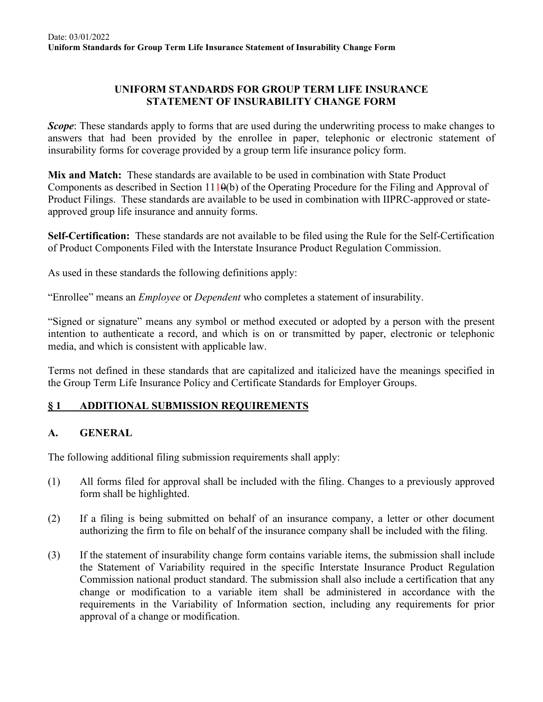#### **UNIFORM STANDARDS FOR GROUP TERM LIFE INSURANCE STATEMENT OF INSURABILITY CHANGE FORM**

*Scope*: These standards apply to forms that are used during the underwriting process to make changes to answers that had been provided by the enrollee in paper, telephonic or electronic statement of insurability forms for coverage provided by a group term life insurance policy form.

**Mix and Match:** These standards are available to be used in combination with State Product Components as described in Section 1110(b) of the Operating Procedure for the Filing and Approval of Product Filings. These standards are available to be used in combination with IIPRC-approved or stateapproved group life insurance and annuity forms.

**Self-Certification:** These standards are not available to be filed using the Rule for the Self-Certification of Product Components Filed with the Interstate Insurance Product Regulation Commission.

As used in these standards the following definitions apply:

"Enrollee" means an *Employee* or *Dependent* who completes a statement of insurability.

"Signed or signature" means any symbol or method executed or adopted by a person with the present intention to authenticate a record, and which is on or transmitted by paper, electronic or telephonic media, and which is consistent with applicable law.

Terms not defined in these standards that are capitalized and italicized have the meanings specified in the Group Term Life Insurance Policy and Certificate Standards for Employer Groups.

### **§ 1 ADDITIONAL SUBMISSION REQUIREMENTS**

### **A. GENERAL**

The following additional filing submission requirements shall apply:

- (1) All forms filed for approval shall be included with the filing. Changes to a previously approved form shall be highlighted.
- (2) If a filing is being submitted on behalf of an insurance company, a letter or other document authorizing the firm to file on behalf of the insurance company shall be included with the filing.
- (3) If the statement of insurability change form contains variable items, the submission shall include the Statement of Variability required in the specific Interstate Insurance Product Regulation Commission national product standard. The submission shall also include a certification that any change or modification to a variable item shall be administered in accordance with the requirements in the Variability of Information section, including any requirements for prior approval of a change or modification.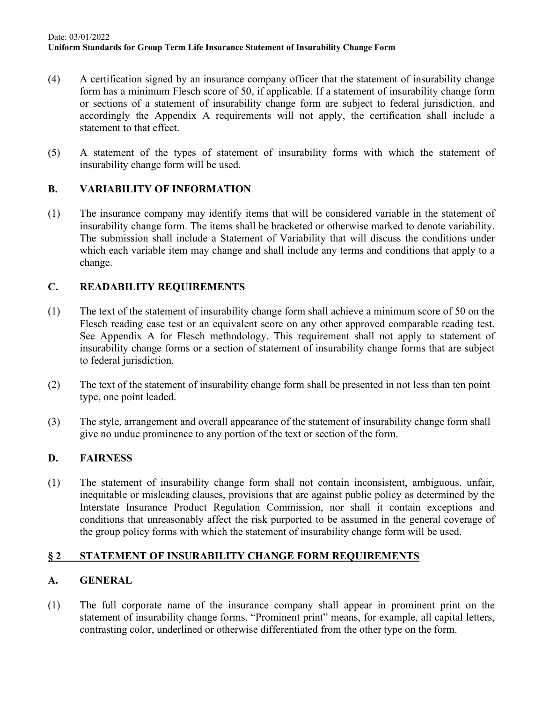- (4) A certification signed by an insurance company officer that the statement of insurability change form has a minimum Flesch score of 50, if applicable. If a statement of insurability change form or sections of a statement of insurability change form are subject to federal jurisdiction, and accordingly the Appendix A requirements will not apply, the certification shall include a statement to that effect.
- (5) A statement of the types of statement of insurability forms with which the statement of insurability change form will be used.

### **B. VARIABILITY OF INFORMATION**

(1) The insurance company may identify items that will be considered variable in the statement of insurability change form. The items shall be bracketed or otherwise marked to denote variability. The submission shall include a Statement of Variability that will discuss the conditions under which each variable item may change and shall include any terms and conditions that apply to a change.

## **C. READABILITY REQUIREMENTS**

- (1) The text of the statement of insurability change form shall achieve a minimum score of 50 on the Flesch reading ease test or an equivalent score on any other approved comparable reading test. See Appendix A for Flesch methodology. This requirement shall not apply to statement of insurability change forms or a section of statement of insurability change forms that are subject to federal jurisdiction.
- (2) The text of the statement of insurability change form shall be presented in not less than ten point type, one point leaded.
- (3) The style, arrangement and overall appearance of the statement of insurability change form shall give no undue prominence to any portion of the text or section of the form.

### **D. FAIRNESS**

(1) The statement of insurability change form shall not contain inconsistent, ambiguous, unfair, inequitable or misleading clauses, provisions that are against public policy as determined by the Interstate Insurance Product Regulation Commission, nor shall it contain exceptions and conditions that unreasonably affect the risk purported to be assumed in the general coverage of the group policy forms with which the statement of insurability change form will be used.

### **§ 2 STATEMENT OF INSURABILITY CHANGE FORM REQUIREMENTS**

### **A. GENERAL**

(1) The full corporate name of the insurance company shall appear in prominent print on the statement of insurability change forms. "Prominent print" means, for example, all capital letters, contrasting color, underlined or otherwise differentiated from the other type on the form.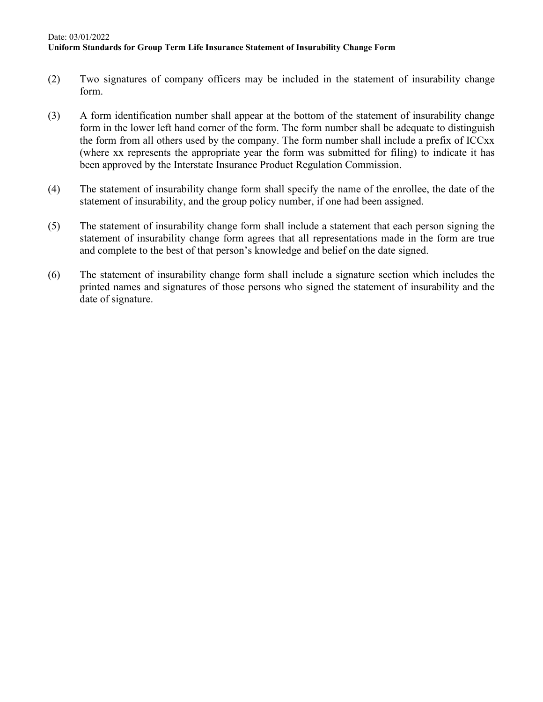#### Date: 03/01/2022 **Uniform Standards for Group Term Life Insurance Statement of Insurability Change Form**

- (2) Two signatures of company officers may be included in the statement of insurability change form.
- (3) A form identification number shall appear at the bottom of the statement of insurability change form in the lower left hand corner of the form. The form number shall be adequate to distinguish the form from all others used by the company. The form number shall include a prefix of ICCxx (where xx represents the appropriate year the form was submitted for filing) to indicate it has been approved by the Interstate Insurance Product Regulation Commission.
- (4) The statement of insurability change form shall specify the name of the enrollee, the date of the statement of insurability, and the group policy number, if one had been assigned.
- (5) The statement of insurability change form shall include a statement that each person signing the statement of insurability change form agrees that all representations made in the form are true and complete to the best of that person's knowledge and belief on the date signed.
- (6) The statement of insurability change form shall include a signature section which includes the printed names and signatures of those persons who signed the statement of insurability and the date of signature.